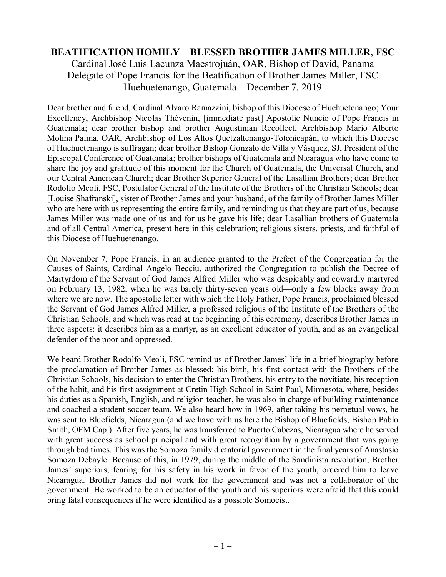## **BEATIFICATION HOMILY – BLESSED BROTHER JAMES MILLER, FSC**

Cardinal José Luis Lacunza Maestrojuán, OAR, Bishop of David, Panama Delegate of Pope Francis for the Beatification of Brother James Miller, FSC é Luis Lacunza Maestrojuán, OAR, Bishop of David,<br>ope Francis for the Beatification of Brother James M<br>Huehuetenango, Guatemala – December 7, 2019

Huehuetenango, Guatemala – December 7, 2019<br>Dear brother and friend, Cardinal Álvaro Ramazzini, bishop of this Diocese of Huehuetenango; Your Excellency, Archbishop Nicolas Thévenin, [immediate past] Apostolic Nuncio of Pope Francis in<br>Guatemala; dear brother bishop and brother Augustinian Recollect, Archbishop Mario Alberto<br>Molina Palma, OAR, Archbishop of Los Guatemala; dear brother bishop and brother Augustinian Recollect, Archbishop Mario Alberto<br>Molina Palma, OAR, Archbishop of Los Altos Quetzaltenango-Totonicapán, to which this Diocese<br>of Huehuetenango is suffragan; dear br Molina Palma, OAR, Archbishop of Los Altos Quetzaltenango-Totonicapán, to which this Diocese<br>of Huehuetenango is suffragan; dear brother Bishop Gonzalo de Villa y Vásquez, SJ, President of the<br>Episcopal Conference of Guate of Huehuetenango is suffragan; dear brother Bishop Gonzalo de Villa y Vásquez, SJ, President of the<br>Episcopal Conference of Guatemala; brother bishops of Guatemala and Nicaragua who have come to<br>share the joy and gratitude our Central American Church; dear Brother Superior General of the Lasallian Brothers; dear Brother share the joy and gratitude of this moment for the Church of Guatemala, the Universal Church, and<br>our Central American Church; dear Brother Superior General of the Lasallian Brothers; dear Brother<br>Rodolfo Meoli, FSC, Postu our Central American Church; dear Brother Superior General of the Lasallian Brothers; dear Brother<br>Rodolfo Meoli, FSC, Postulator General of the Institute of the Brothers of the Christian Schools; dear<br>[Louise Shafranski], Rodolfo Meoli, FSC, Postulator General of the Institute of the Brothers of the Christian Schools; dear<br>[Louise Shafranski], sister of Brother James and your husband, of the family of Brother James Miller<br>who are here with [Louise Shafranski], sister of Brother James and your husband, of the family of Brother James Miller<br>who are here with us representing the entire family, and reminding us that they are part of us, because<br>James Miller was and of all Central America, present here in this celebration; religious sisters, priests, and faithful of this Diocese of Huehuetenango.

On November 7, Pope Francis, in an audience granted to the Prefect of the Congregation for the On November 7, Pope Francis, in an audience granted to the Prefect of the Congregation for the<br>Causes of Saints, Cardinal Angelo Becciu, authorized the Congregation to publish the Decree of<br>Mentyndom of the Servent of Cod Martyrdom of the Servant of God James Alfred Miller who was despicably and cowardly martyred<br>on February 13, 1982, when he was barely thirty-seven years old—only a few blocks away from<br>where we are now. The apostolic lette Causes of Saints, Cardinal Angelo Becciu, authorized the Congregation to publish the Decree of<br>Martyrdom of the Servant of God James Alfred Miller who was despicably and cowardly martyred<br>on February 13, 1982, when he was on February 13, 1982, when he was barely thirty-seven years old—only a few blocks away from<br>where we are now. The apostolic letter with which the Holy Father, Pope Francis, proclaimed blessed<br>the Servant of God James Alfre where we are now. The apostolic letter with which the Holy Father, Pope Francis, proclaimed blessed<br>the Servant of God James Alfred Miller, a professed religious of the Institute of the Brothers of the<br>Christian Schools, a the Servant of God James Alfred Miller, a professed religious of the Institute of the Brothers of the Christian Schools, and which was read at the beginning of this ceremony, describes Brother James in three aspects: it de defender of the poor and oppressed.

We heard Brother Rodolfo Meoli, FSC remind us of Brother James' life in a brief biography before the proclamation of Brother James as blessed: his birth, his first contact with the Brothers of the We heard Brother Rodolfo Meoli, FSC remind us of Brother James' life in a brief biography before<br>the proclamation of Brother James as blessed: his birth, his first contact with the Brothers of the<br>Christian Schools, his de the proclamation of Brother James as blessed: his birth, his first contact with the Brothers of the Christian Schools, his decision to enter the Christian Brothers, his entry to the novitiate, his reception of the habit, a Christian Schools, his decision to enter the Christian Brothers, his entry to the novitiate, his reception of the habit, and his first assignment at Cretin High School in Saint Paul, Minnesota, where, besides his duties as of the habit, and his first assignment at Cretin High School in Saint Paul, Minnesota, where, besides his duties as a Spanish, English, and religion teacher, he was also in charge of building maintenance and coached a stud his duties as a Spanish, English, and religion teacher, he was also in charge of building maintenance<br>and coached a student soccer team. We also heard how in 1969, after taking his perpetual vows, he<br>was sent to Bluefields and coached a student soccer team. We also heard how in 1969, after taking his perpetual vows, he<br>was sent to Bluefields, Nicaragua (and we have with us here the Bishop of Bluefields, Bishop Pablo<br>Smith, OFM Cap.). After f Smith, OFM Cap.). After five years, he was transferred to Puerto Cabezas, Nicaragua where he served with great success as school principal and with great recognition by a government that was going through bad times. This was the Somoza family dictatorial government in the final years of Anastasio with great success as school principal and with great recognition by a government that was going<br>through bad times. This was the Somoza family dictatorial government in the final years of Anastasio<br>Somoza Debayle. Because through bad times. This was the Somoza family dictatorial government in the final years of Anastasio<br>Somoza Debayle. Because of this, in 1979, during the middle of the Sandinista revolution, Brother<br>James' superiors, feari Somoza Debayle. Because of this, in 1979, during the middle of the Sandinista revolution, Brother James' superiors, fearing for his safety in his work in favor of the youth, ordered him to leave<br>Nicaragua. Brother James di James' superiors, fearing for his safety in his work in favor of the youth, ordered him to leave Nicaragua. Brother James did not work for the government and was not a collaborator of the government. He worked to be an edu government. He worked to be an educator of the youth and his superiors were afraid that this could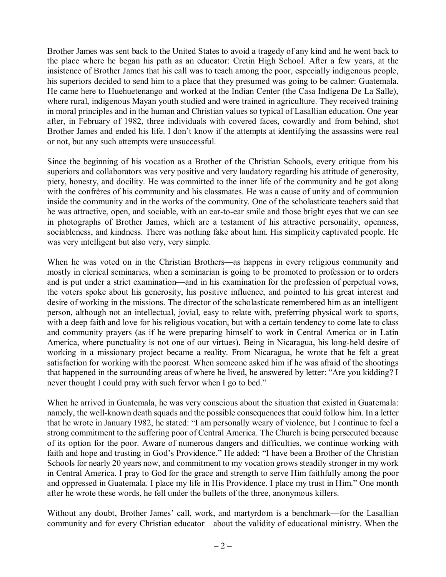Brother James was sent back to the United States to avoid a tragedy of any kind and he went back to the place where he began his path as an educator: Cretin High School. After a few years, at the insistence of Brother James that his call was to teach among the poor, especially indigenous people, his superiors decided to send him to a place that they presumed was going to be calmer: Guatemala. He came here to Huehue his superiors decided to send him to a place that they presumed was going to be calmer: Guatemala.<br>He came here to Huehuetenango and worked at the Indian Center (the Casa Indígena De La Salle),<br>where rural, indigenous Maya He came here to Huehuetenango and worked at the Indian Center (the Casa Indígena De La Salle), where rural, indigenous Mayan youth studied and were trained in agriculture. They received training in moral principles and in where rural, indigenous Mayan youth studied and were trained in agriculture. They received training<br>in moral principles and in the human and Christian values so typical of Lasallian education. One year<br>after, in February o in moral principles and in the human and Christian values so typical of Lasallian education. One year<br>after, in February of 1982, three individuals with covered faces, cowardly and from behind, shot<br>Brother James and ended after, in February of 1982, three individuals with<br>Brother James and ended his life. I don't know if<br>or not, but any such attempts were unsuccessful.

Since the beginning of his vocation as a Brother of the Christian Schools, every critique from his<br>Since the beginning of his vocation as a Brother of the Christian Schools, every critique from his<br>superiors and sollaborat Since the beginning of his vocation as a Brother of the Christian Schools, every critique from his superiors and collaborators was very positive and very laudatory regarding his attitude of generosity, Since the beginning of his vocation as a Brother of the Christian Schools, every critique from his superiors and collaborators was very positive and very laudatory regarding his attitude of generosity, piety, honesty, and superiors and collaborators was very positive and very laudatory regarding his attitude of generosity, piety, honesty, and docility. He was committed to the inner life of the community and he got along with the confrères o piety, honesty, and docility. He was committed to the inner life of the community and he got along<br>with the confrères of his community and his classmates. He was a cause of unity and of communion<br>inside the community and i with the confrères of his community and his classmates. He was a cause of unity and of communion<br>inside the community and in the works of the community. One of the scholasticate teachers said that<br>he was attractive, open, in photographs of Brother James, which are a testament of his attractive personality, openness, he was attractive, open, and sociable, with an ear-to-ear smile and those bright eyes that we can see<br>in photographs of Brother James, which are a testament of his attractive personality, openness,<br>sociableness, and kindne was very intelligent but also very, very simple.

was very intelligent but also very, very simple.<br>When he was voted on in the Christian Brothers—as happens in every religious community and<br>mostly in algrical cominaries, when a seminarian is soing to be premeted to prefec When he was voted on in the Christian Brothers—as happens in every religious community and<br>mostly in clerical seminaries, when a seminarian is going to be promoted to profession or to orders<br>and is nut under a strict avami When he was voted on in the Christian Brothers—as happens in every religious community and<br>mostly in clerical seminaries, when a seminarian is going to be promoted to profession or to orders<br>and is put under a strict exami mostly in clerical seminaries, when a seminarian is going to be promoted to profession or to orders and is put under a strict examination—and in his examination for the profession of perpetual vows, the voters spoke about and is put under a strict examination—and in his examination for the profession of perpetual vows,<br>the voters spoke about his generosity, his positive influence, and pointed to his great interest and<br>desire of working in t person, although not an intellectual, jovial, easy to relate with, preferring physical work to sports, with a deep faith and love for his religious vocation, but with a certain tendency to come late to class and community desire of working in the missions. The director of the scholasticate remembered him as an intelligent<br>person, although not an intellectual, jovial, easy to relate with, preferring physical work to sports,<br>with a deep faith with a deep faith and love for his religious vocation, but with a certain tendency to come late to class<br>and community prayers (as if he were preparing himself to work in Central America or in Latin<br>America, where punctual and community prayers (as if he were preparing himself to work in Central America or in Latin<br>America, where punctuality is not one of our virtues). Being in Nicaragua, his long-held desire of<br>working in a missionary proje America, where punctuality is not one of our virtues). Being in Nicaragua, his long-held desire of working in a missionary project became a reality. From Nicaragua, he wrote that he felt a great satisfaction for working wi that happened in the surrounding areas of where he lived, he answered by letter: "Are you kidding? I satisfaction for working with the poorest. When someone asked hit<br>that happened in the surrounding areas of where he lived, he answer<br>never thought I could pray with such fervor when I go to bed."

When he arrived in Guatemala, he was very conscious about the situation that existed in Guatemala: never thought I could pray with such fervor when I go to bed."<br>When he arrived in Guatemala, he was very conscious about the situation that existed in Guatemala:<br>namely, the well-known death squads and the possible consequ that he wrote in January 1982, he stated: "I am personally weary of violence, but I continue to feel a strong commitment to the suffering poor of Central America. The Church is being persecuted because of its option for th strong commitment to the suffering poor of Central America. The Church is being persecuted because of its option for the poor. Aware of numerous dangers and difficulties, we continue working with faith and hope and trusting in God's Providence." He added: "I have been a Brother of the Christian Schools for nearly 20 years now, and commitment to my vocation grows steadily stronger in my work<br>in Central America. I pray to God for the grace and strength to serve Him faithfully among the poor<br>and oppressed in Guatema in Central America. I pray to God for the grace and strength to serve Him faithfully among the poor after he wrote these words, he fell under the bullets of the three, anonymous killers. and oppressed in Guatemala. I place my life in His Providence. I place my trust in Him." One month<br>after he wrote these words, he fell under the bullets of the three, anonymous killers.<br>Without any doubt, Brother James' ca

about the valid<br> $-2$  – Without any doubt, Brother James' call, work, and martyrdom is a benchmark—for the Lasallian community and for every Christian educator—about the validity of educational ministry. When the